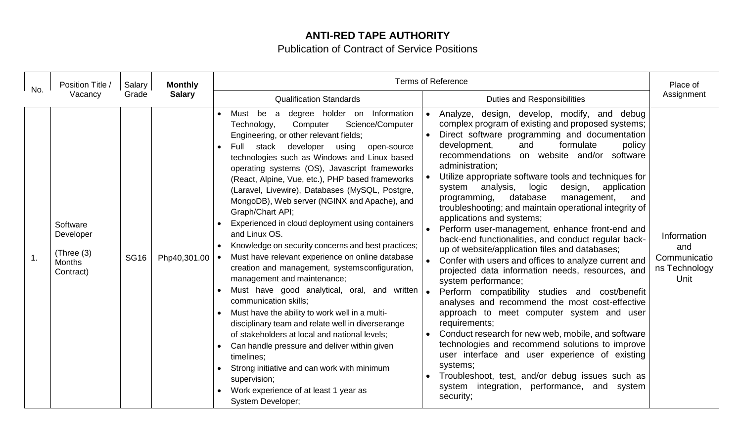## **ANTI-RED TAPE AUTHORITY**

Publication of Contract of Service Positions

| No.            | Position Title /<br>Vacancy                                        | Salary<br>Grade | <b>Monthly</b><br><b>Salary</b> | <b>Terms of Reference</b>                                                                                                                                                                                                                                                                                                                                                                                                                                                                                                                                                                                                                                                                                                                                                                                                                                                                                                                                                                                                                                                                                                                                                         |                                                                                                                                                                                                                                                                                                                                                                                                                                                                                                                                                                                                                                                                                                                                                                                                                                                                                                                                                                                                                                                                                                                                                                                                                                                                                              | Place of                                                    |
|----------------|--------------------------------------------------------------------|-----------------|---------------------------------|-----------------------------------------------------------------------------------------------------------------------------------------------------------------------------------------------------------------------------------------------------------------------------------------------------------------------------------------------------------------------------------------------------------------------------------------------------------------------------------------------------------------------------------------------------------------------------------------------------------------------------------------------------------------------------------------------------------------------------------------------------------------------------------------------------------------------------------------------------------------------------------------------------------------------------------------------------------------------------------------------------------------------------------------------------------------------------------------------------------------------------------------------------------------------------------|----------------------------------------------------------------------------------------------------------------------------------------------------------------------------------------------------------------------------------------------------------------------------------------------------------------------------------------------------------------------------------------------------------------------------------------------------------------------------------------------------------------------------------------------------------------------------------------------------------------------------------------------------------------------------------------------------------------------------------------------------------------------------------------------------------------------------------------------------------------------------------------------------------------------------------------------------------------------------------------------------------------------------------------------------------------------------------------------------------------------------------------------------------------------------------------------------------------------------------------------------------------------------------------------|-------------------------------------------------------------|
|                |                                                                    |                 |                                 | <b>Qualification Standards</b>                                                                                                                                                                                                                                                                                                                                                                                                                                                                                                                                                                                                                                                                                                                                                                                                                                                                                                                                                                                                                                                                                                                                                    | <b>Duties and Responsibilities</b>                                                                                                                                                                                                                                                                                                                                                                                                                                                                                                                                                                                                                                                                                                                                                                                                                                                                                                                                                                                                                                                                                                                                                                                                                                                           | Assignment                                                  |
| $\mathbf{1}$ . | Software<br>Developer<br>(Three (3))<br><b>Months</b><br>Contract) | <b>SG16</b>     | Php40,301.00                    | degree holder on Information<br>be<br>Must<br>a<br>Science/Computer<br>Computer<br>Technology,<br>Engineering, or other relevant fields;<br>stack<br>developer<br>Full<br>using<br>open-source<br>technologies such as Windows and Linux based<br>operating systems (OS), Javascript frameworks<br>(React, Alpine, Vue, etc.), PHP based frameworks<br>(Laravel, Livewire), Databases (MySQL, Postgre,<br>MongoDB), Web server (NGINX and Apache), and<br>Graph/Chart API;<br>Experienced in cloud deployment using containers<br>and Linux OS.<br>Knowledge on security concerns and best practices;<br>Must have relevant experience on online database<br>creation and management, systemsconfiguration,<br>management and maintenance;<br>Must have good analytical, oral, and written   .<br>communication skills;<br>Must have the ability to work well in a multi-<br>disciplinary team and relate well in diverserange<br>of stakeholders at local and national levels;<br>Can handle pressure and deliver within given<br>timelines:<br>Strong initiative and can work with minimum<br>supervision;<br>Work experience of at least 1 year as<br><b>System Developer;</b> | Analyze, design, develop, modify, and debug<br>$\bullet$<br>complex program of existing and proposed systems;<br>Direct software programming and documentation<br>development,<br>and<br>formulate<br>policy<br>recommendations on website and/or software<br>administration;<br>Utilize appropriate software tools and techniques for<br>design,<br>system analysis,<br>logic<br>application<br>database<br>programming,<br>management,<br>and<br>troubleshooting; and maintain operational integrity of<br>applications and systems;<br>Perform user-management, enhance front-end and<br>back-end functionalities, and conduct regular back-<br>up of website/application files and databases;<br>Confer with users and offices to analyze current and<br>projected data information needs, resources, and<br>system performance;<br>Perform compatibility studies and cost/benefit<br>analyses and recommend the most cost-effective<br>approach to meet computer system and user<br>requirements;<br>Conduct research for new web, mobile, and software<br>technologies and recommend solutions to improve<br>user interface and user experience of existing<br>systems;<br>Troubleshoot, test, and/or debug issues such as<br>system integration, performance, and system<br>security; | Information<br>and<br>Communicatio<br>ns Technology<br>Unit |